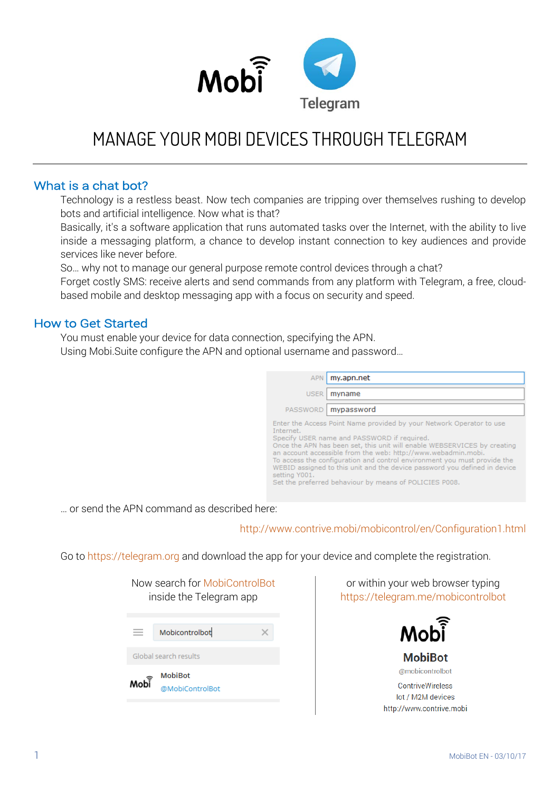

# MANAGE YOUR MOBI DEVICES THROUGH TELEGRAM

#### What is a chat bot?

Technology is a restless beast. Now tech companies are tripping over themselves rushing to develop bots and artificial intelligence. Now what is that?

Basically, it's a software application that runs automated tasks over the Internet, with the ability to live inside a messaging platform, a chance to develop instant connection to key audiences and provide services like never before.

So… why not to manage our general purpose remote control devices through a chat?

Forget costly SMS: receive alerts and send commands from any platform with Telegram, a free, cloudbased mobile and desktop messaging app with a focus on security and speed.

#### How to Get Started

You must enable your device for data connection, specifying the APN. Using Mobi.Suite configure the APN and optional username and password…

| <b>APN</b>                 | my.apn.net                                                                                                                                                                                                                                                                                                                                                                                                                                                                          |
|----------------------------|-------------------------------------------------------------------------------------------------------------------------------------------------------------------------------------------------------------------------------------------------------------------------------------------------------------------------------------------------------------------------------------------------------------------------------------------------------------------------------------|
| <b>USER</b>                | myname                                                                                                                                                                                                                                                                                                                                                                                                                                                                              |
| <b>PASSWORD</b>            | mypassword                                                                                                                                                                                                                                                                                                                                                                                                                                                                          |
| Internet.<br>setting Y001. | Enter the Access Point Name provided by your Network Operator to use<br>Specify USER name and PASSWORD if required.<br>Once the APN has been set, this unit will enable WEBSERVICES by creating<br>an account accessible from the web: http://www.webadmin.mobi.<br>To access the configuration and control environment you must provide the<br>WEBID assigned to this unit and the device password you defined in device<br>Set the preferred behaviour by means of POLICIES P008. |

… or send the APN command as described here:

#### http://www[.contrive.m](http://www.contrive.mobi/mobicontrol/en/Configuration1.html)obi/mobicontrol/en/Configuration1.html

Go to https://telegram.org and download the app for your device and complete the registration.

| Now search for MobiControlBot<br>inside the Telegram app |  |  |  |  |
|----------------------------------------------------------|--|--|--|--|
| Mobicontrolbot                                           |  |  |  |  |
| Global search results                                    |  |  |  |  |
| <b>MobiBot</b><br>Moh <sub>i</sub><br>@MobiControlBot    |  |  |  |  |

or within your web browser typing https://telegram.me/mobicontrolbot

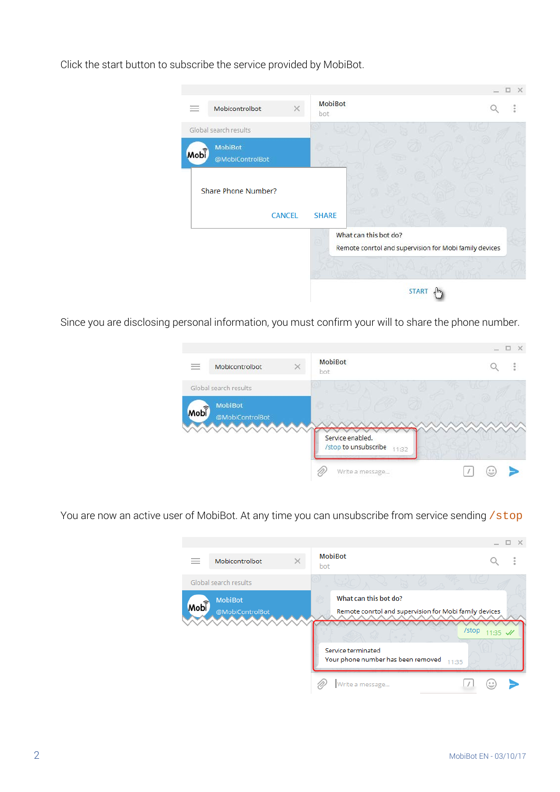Click the start button to subscribe the service provided by MobiBot.



Since you are disclosing personal information, you must confirm your will to share the phone number.

| ---<br>--   | Mobicontrolbot                    | MobiBot                       | $\mathcal{L}$ |
|-------------|-----------------------------------|-------------------------------|---------------|
|             | Global search results             | bot                           |               |
| <b>Mobi</b> | <b>MobiBot</b><br>@MobiControlBot |                               |               |
|             |                                   | Service enabled.              |               |
|             |                                   | /stop to unsubscribe<br>11:32 |               |
|             |                                   | Write a message               | 巳             |

You are now an active user of MobiBot. At any time you can unsubscribe from service sending /stop

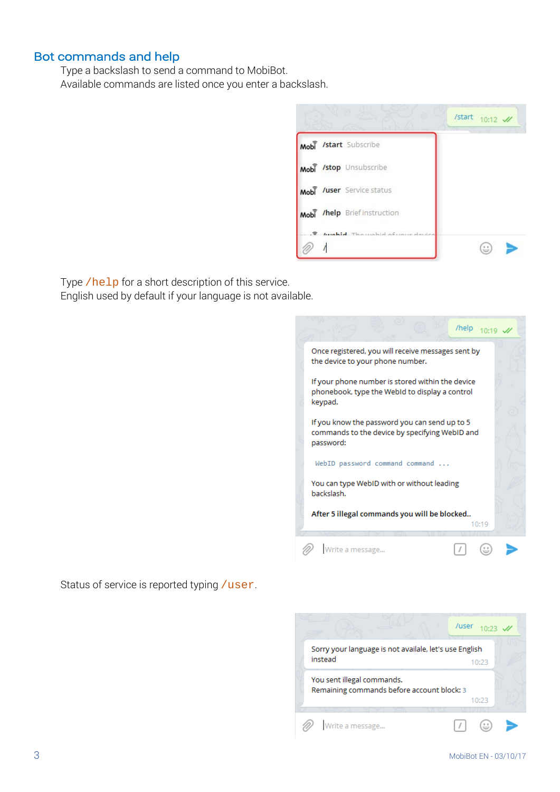#### Bot commands and help

Type a backslash to send a command to MobiBot. Available commands are listed once you enter a backslash.

|     |                                   | /start<br>$10:12$ // |
|-----|-----------------------------------|----------------------|
|     | Mobi /start Subscribe             |                      |
|     | Mobi /stop Unsubscribe            |                      |
|     | Mobi /user Service status         |                      |
|     | Mobi /help Briefinstruction       |                      |
| .⊜. | harabled Thomashid of unus device |                      |

Type /help for a short description of this service. English used by default if your language is not available.



Status of service is reported typing /user.

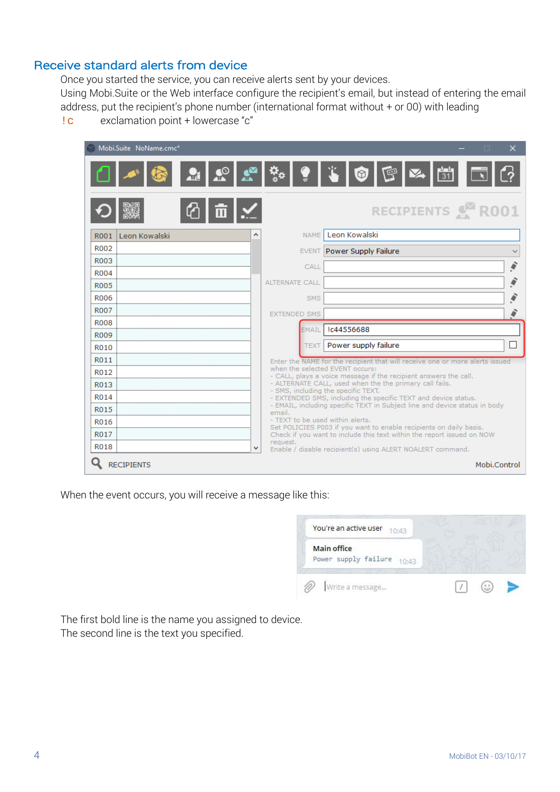#### Receive standard alerts from device

Once you started the service, you can receive alerts sent by your devices. Using Mobi.Suite or the Web interface configure the recipient's email, but instead of entering the email address, put the recipient's phone number (international format without + or 00) with leading

!c exclamation point + lowercase "c"

|                     | Mobi.Suite NoName.cmc* |  |                       |             | $\times$<br>п                                                                                                                                |
|---------------------|------------------------|--|-----------------------|-------------|----------------------------------------------------------------------------------------------------------------------------------------------|
|                     |                        |  |                       |             | S 2 2 2 4 4 1 0 5 2 3                                                                                                                        |
|                     |                        |  |                       |             | RECIPIENTS & R001                                                                                                                            |
|                     | R001 Leon Kowalski     |  |                       | <b>NAME</b> | Leon Kowalski                                                                                                                                |
| R002                |                        |  |                       |             | EVENT Power Supply Failure                                                                                                                   |
| R003                |                        |  |                       | CALL        |                                                                                                                                              |
| R004                |                        |  | <b>ALTERNATE CALL</b> |             |                                                                                                                                              |
| R005                |                        |  |                       |             |                                                                                                                                              |
| <b>R006</b>         |                        |  |                       | SMS         |                                                                                                                                              |
| <b>R007</b>         |                        |  | <b>EXTENDED SMS</b>   |             |                                                                                                                                              |
| <b>R008</b><br>R009 |                        |  |                       | EMAIL       | Ic44556688                                                                                                                                   |
| R010                |                        |  |                       | <b>TEXT</b> | Power supply failure                                                                                                                         |
| R011                |                        |  |                       |             | Enter the NAME for the recipient that will receive one or more alerts issued                                                                 |
| R012                |                        |  |                       |             | when the selected EVENT occurs:                                                                                                              |
| R013                |                        |  |                       |             | - CALL, plays a voice message if the recipient answers the call.<br>- ALTERNATE CALL, used when the the primary call fails.                  |
| R <sub>0</sub> 14   |                        |  |                       |             | - SMS, including the specific TEXT.<br>- EXTENDED SMS, including the specific TEXT and device status.                                        |
| R015                |                        |  | email.                |             | - EMAIL, including specific TEXT in Subject line and device status in body                                                                   |
| R016                |                        |  |                       |             | - TEXT to be used within alerts.                                                                                                             |
| R017                |                        |  |                       |             | Set POLICIES P003 if you want to enable recipients on daily basis.<br>Check if you want to include this text within the report issued on NOW |
| R018                |                        |  | request.              |             | Enable / disable recipient(s) using ALERT NOALERT command.                                                                                   |
|                     | <b>RECIPIENTS</b>      |  |                       |             | Mobi.Control                                                                                                                                 |

When the event occurs, you will receive a message like this:



The first bold line is the name you assigned to device. The second line is the text you specified.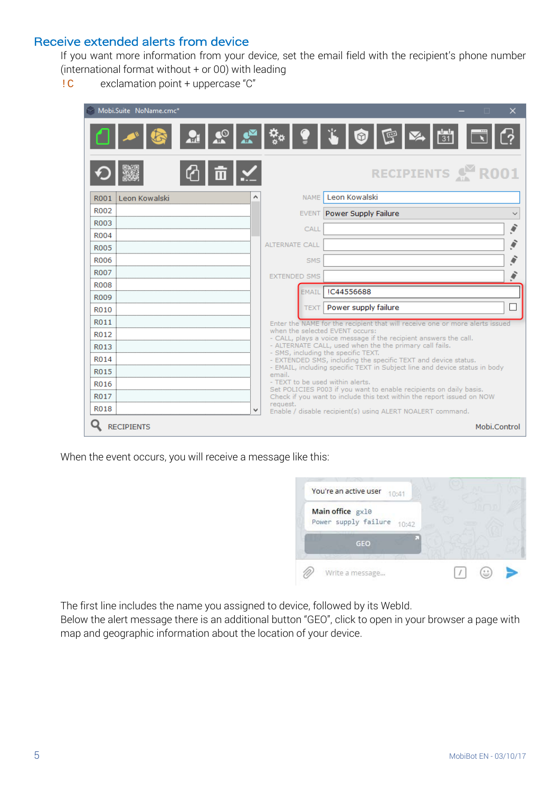# Receive extended alerts from device

If you want more information from your device, set the email field with the recipient's phone number (international format without + or 00) with leading

!C exclamation point + uppercase "C"

| Mobi.Suite NoName.cmc* |                     |             | ×<br>п                                                                                                                                       |
|------------------------|---------------------|-------------|----------------------------------------------------------------------------------------------------------------------------------------------|
|                        |                     |             | ▁▁▎ <u>▞</u> ▏▞▁▏░▕▝▏▏▏▏◎▎░▏ <sub>▓</sub> ▏▏                                                                                                 |
|                        |                     |             | RECIPIENTS & ROO1                                                                                                                            |
| R001 Leon Kowalski     |                     | <b>NAME</b> | Leon Kowalski                                                                                                                                |
| R002                   |                     |             | <b>EVENT Power Supply Failure</b>                                                                                                            |
| R003                   |                     | CALL        |                                                                                                                                              |
| <b>R004</b>            |                     |             |                                                                                                                                              |
| <b>R005</b>            | ALTERNATE CALL      |             |                                                                                                                                              |
| <b>R006</b>            |                     | <b>SMS</b>  |                                                                                                                                              |
| <b>R007</b>            | <b>EXTENDED SMS</b> |             |                                                                                                                                              |
| <b>R008</b>            |                     | EMAIL       | IC44556688                                                                                                                                   |
| <b>R009</b>            |                     | <b>TEXT</b> | Power supply failure                                                                                                                         |
| R010                   |                     |             |                                                                                                                                              |
| R011                   |                     |             | Enter the NAME for the recipient that will receive one or more alerts issued<br>when the selected EVENT occurs:                              |
| R012<br>R013           |                     |             | - CALL, plays a voice message if the recipient answers the call.<br>- ALTERNATE CALL, used when the the primary call fails.                  |
| R014                   |                     |             | - SMS, including the specific TEXT.                                                                                                          |
| R015                   |                     |             | - EXTENDED SMS, including the specific TEXT and device status.<br>- EMAIL, including specific TEXT in Subject line and device status in body |
| R016                   | email.              |             | - TEXT to be used within alerts.                                                                                                             |
| R017                   |                     |             | Set POLICIES P003 if you want to enable recipients on daily basis.<br>Check if you want to include this text within the report issued on NOW |
| R018                   | request.            |             | Enable / disable recipient(s) using ALERT NOALERT command.                                                                                   |
| <b>RECIPIENTS</b>      |                     |             | Mobi.Control                                                                                                                                 |

When the event occurs, you will receive a message like this:



The first line includes the name you assigned to device, followed by its WebId.

Below the alert message there is an additional button "GEO", click to open in your browser a page with map and geographic information about the location of your device.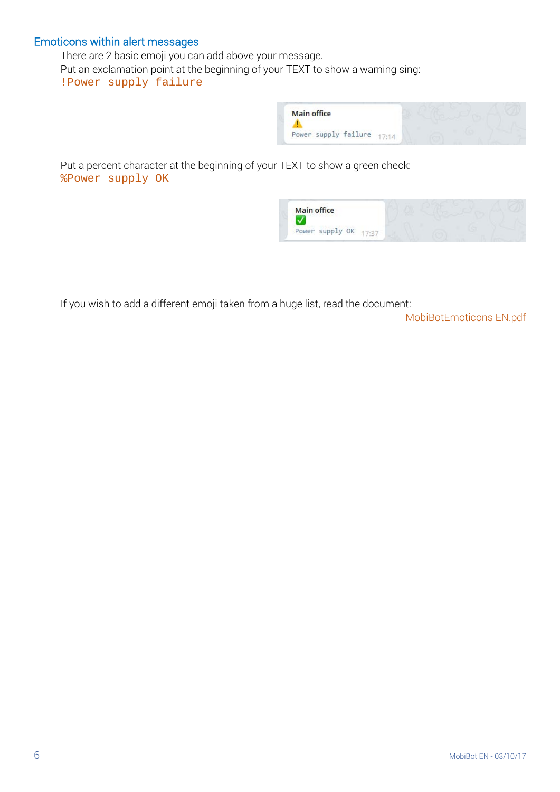## Emoticons within alert messages

There are 2 basic emoji you can add above your message. Put an exclamation point at the beginning of your TEXT to show a warning sing: !Power supply failure



Put a percent character at the beginning of your TEXT to show a green check: %Power supply OK



If you wish to add a different emoji taken from a huge list, read the document:

MobiBotEmoticons EN.pdf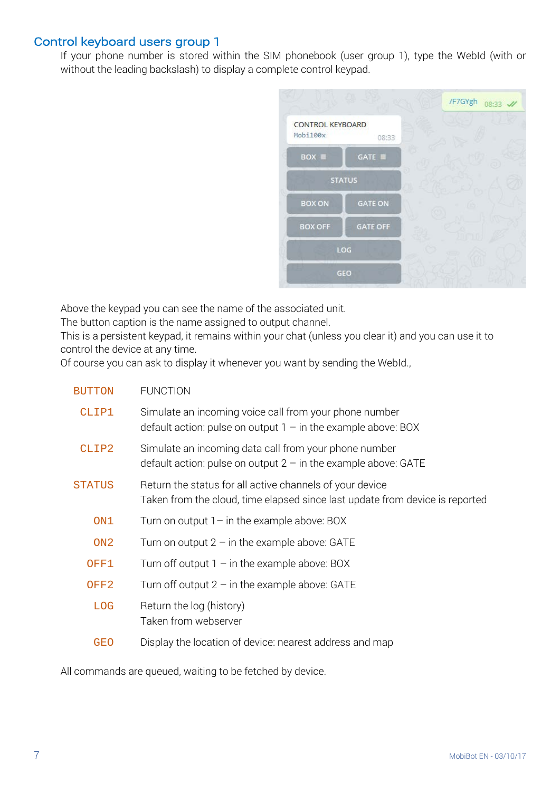## Control keyboard users group 1

If your phone number is stored within the SIM phonebook (user group 1), type the WebId (with or without the leading backslash) to display a complete control keypad.



Above the keypad you can see the name of the associated unit.

The button caption is the name assigned to output channel.

This is a persistent keypad, it remains within your chat (unless you clear it) and you can use it to control the device at any time.

Of course you can ask to display it whenever you want by sending the WebId.,

| <b>BUTTON</b>    | <b>FUNCTION</b>                                                                                                                          |
|------------------|------------------------------------------------------------------------------------------------------------------------------------------|
| CLIP1            | Simulate an incoming voice call from your phone number<br>default action: pulse on output $1 -$ in the example above: BOX                |
| CLIP2            | Simulate an incoming data call from your phone number<br>default action: pulse on output $2 - in$ the example above: GATE                |
| <b>STATUS</b>    | Return the status for all active channels of your device<br>Taken from the cloud, time elapsed since last update from device is reported |
| ON1              | Turn on output $1-$ in the example above: BOX                                                                                            |
| ON <sub>2</sub>  | Turn on output $2 - in$ the example above: GATE                                                                                          |
| OFF1             | Turn off output $1 -$ in the example above: BOX                                                                                          |
| OFF <sub>2</sub> | Turn off output $2 - in$ the example above: GATE                                                                                         |
| <b>LOG</b>       | Return the log (history)<br>Taken from webserver                                                                                         |
| <b>GEO</b>       | Display the location of device: nearest address and map                                                                                  |

All commands are queued, waiting to be fetched by device.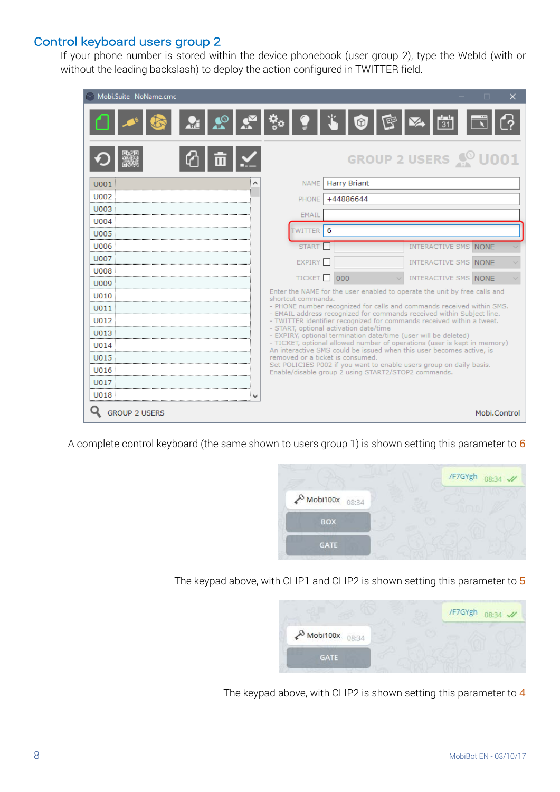# Control keyboard users group 2

If your phone number is stored within the device phonebook (user group 2), type the WebId (with or without the leading backslash) to deploy the action configured in TWITTER field.

| Mobi.Suite NoName.cmc | ×                                                                                                                                                |
|-----------------------|--------------------------------------------------------------------------------------------------------------------------------------------------|
|                       | <b>Q Q Q Q Q</b> Q Q Q © Q Q <del>U</del>                                                                                                        |
|                       | <b>GROUP 2 USERS @ U001</b>                                                                                                                      |
| U001                  | NAME   Harry Briant                                                                                                                              |
| U002                  | +44886644<br>PHONE                                                                                                                               |
| U003                  | <b>EMAIL</b>                                                                                                                                     |
| U004                  |                                                                                                                                                  |
| <b>U005</b>           | 6<br><b>TWITTER</b>                                                                                                                              |
| <b>U006</b>           | <b>START</b><br><b>INTERACTIVE SMS NONE</b>                                                                                                      |
| <b>U007</b>           | <b>EXPIRY</b><br><b>INTERACTIVE SMS NONE</b>                                                                                                     |
| <b>U008</b>           | TICKET <sub>000</sub><br>INTERACTIVE SMS NONE                                                                                                    |
| U009                  | Enter the NAME for the user enabled to operate the unit by free calls and                                                                        |
| U010                  | shortcut commands.                                                                                                                               |
| U011                  | - PHONE number recognized for calls and commands received within SMS.<br>- EMAIL address recognized for commands received within Subject line.   |
| U012                  | - TWITTER identifier recognized for commands received within a tweet.<br>- START, optional activation date/time                                  |
| U013                  | - EXPIRY, optional termination date/time (user will be deleted)                                                                                  |
| U014                  | - TICKET, optional allowed number of operations (user is kept in memory)<br>An interactive SMS could be issued when this user becomes active, is |
| U015                  | removed or a ticket is consumed.<br>Set POLICIES P002 if you want to enable users group on daily basis.                                          |
| U016                  | Enable/disable group 2 using START2/STOP2 commands.                                                                                              |
| U017                  |                                                                                                                                                  |
| U018                  |                                                                                                                                                  |
| <b>GROUP 2 USERS</b>  | Mobi.Control                                                                                                                                     |

A complete control keyboard (the same shown to users group 1) is shown setting this parameter to 6



The keypad above, with CLIP1 and CLIP2 is shown setting this parameter to 5



The keypad above, with CLIP2 is shown setting this parameter to 4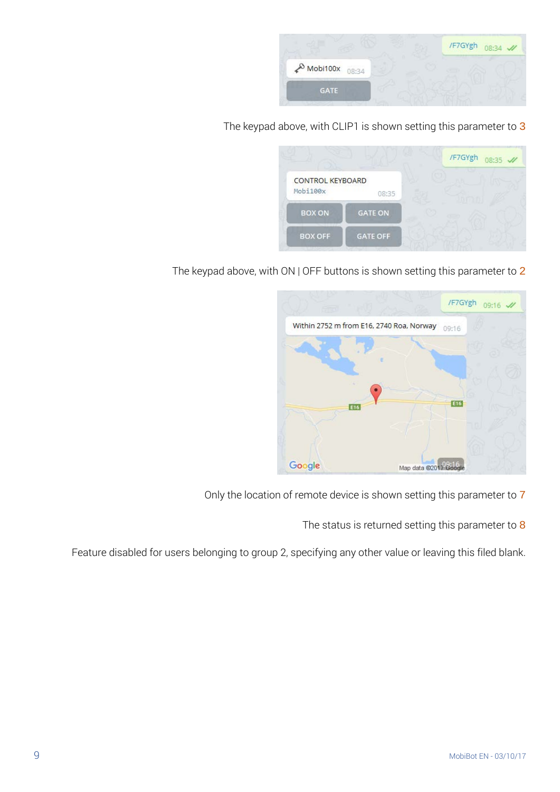

The keypad above, with CLIP1 is shown setting this parameter to 3

|                                     |                 | /F7GYgh<br>08:35 // |
|-------------------------------------|-----------------|---------------------|
| <b>CONTROL KEYBOARD</b><br>Mobi100x | 08:35           |                     |
| <b>BOX ON</b>                       | <b>GATE ON</b>  |                     |
| <b>BOX OFF</b>                      | <b>GATE OFF</b> |                     |

The keypad above, with ON | OFF buttons is shown setting this parameter to 2



Only the location of remote device is shown setting this parameter to 7

The status is returned setting this parameter to 8

Feature disabled for users belonging to group 2, specifying any other value or leaving this filed blank.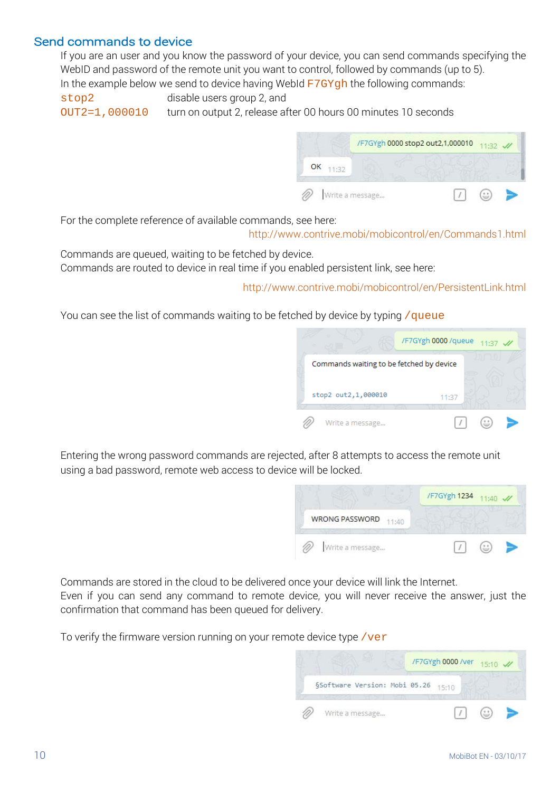## Send commands to device

If you are an user and you know the password of your device, you can send commands specifying the WebID and password of the remote unit you want to control, followed by commands (up to 5). In the example below we send to device having WebId  $F7GYgh$  the following commands:

stop2 disable users group 2, and

OUT2=1,000010 turn on output 2, release after 00 hours 00 minutes 10 seconds



For the complete reference of available commands, see here:

<http://www.contrive.mobi/mobicontrol/en/Commands1.html>

Commands are queued, waiting to be fetched by device. Commands are routed to device in real time if you enabled persistent link, see here:

<http://www.contrive.mobi/mobicontrol/en/PersistentLink.html>

You can see the list of commands waiting to be fetched by device by typing / queue



Entering the wrong password commands are rejected, after 8 attempts to access the remote unit using a bad password, remote web access to device will be locked.



Commands are stored in the cloud to be delivered once your device will link the Internet. Even if you can send any command to remote device, you will never receive the answer, just the confirmation that command has been queued for delivery.

To verify the firmware version running on your remote device type / $ver$